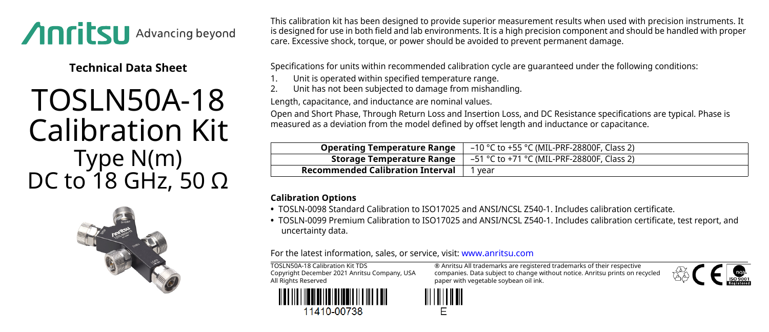

**Technical Data Sheet**

## TOSLN50A-18 Calibration Kit Type N(m) DC to 18 GHz, 50 Ω



This calibration kit has been designed to provide superior measurement results when used with precision instruments. It is designed for use in both field and lab environments. It is a high precision component and should be handled with proper care. Excessive shock, torque, or power should be avoided to prevent permanent damage.

Specifications for units within recommended calibration cycle are guaranteed under the following conditions:

- Unit is operated within specified temperature range.
- 2. Unit has not been subjected to damage from mishandling.

Length, capacitance, and inductance are nominal values.

Open and Short Phase, Through Return Loss and Insertion Loss, and DC Resistance specifications are typical. Phase is measured as a deviation from the model defined by offset length and inductance or capacitance.

| <b>Operating Temperature Range</b> | –10 °C to +55 °C (MIL-PRF-28800F, Class 2)                                                          |
|------------------------------------|-----------------------------------------------------------------------------------------------------|
|                                    | <b>Storage Temperature Range</b> $\vert -51 \degree$ C to +71 $\degree$ C (MIL-PRF-28800F, Class 2) |
| Recommended Calibration Interval   | 1 year                                                                                              |

## **Calibration Options**

- **•** TOSLN-0098 Standard Calibration to ISO17025 and ANSI/NCSL Z540-1. Includes calibration certificate.
- **•** TOSLN-0099 Premium Calibration to ISO17025 and ANSI/NCSL Z540-1. Includes calibration certificate, test report, and uncertainty data.

For the latest information, sales, or service, visit: [www.anritsu.com](http://www.anritsu.com)

TOSLN50A-18 Calibration Kit TDS Copyright December 2021 Anritsu Company, USA All Rights Reserved



® Anritsu All trademarks are registered trademarks of their respective companies. Data subject to change without notice. Anritsu prints on recycled paper with vegetable soybean oil ink.